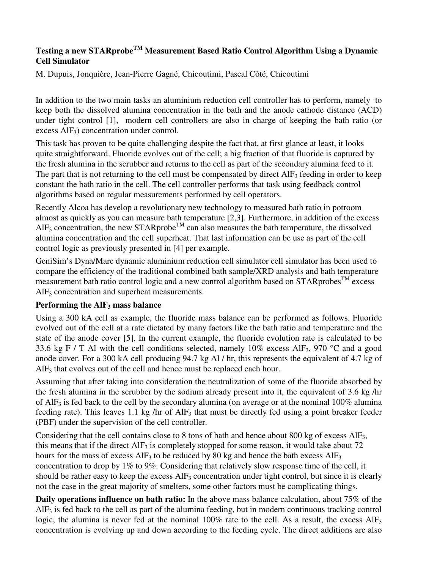# **Testing a new STARprobeTM Measurement Based Ratio Control Algorithm Using a Dynamic Cell Simulator**

M. Dupuis, Jonquière, Jean-Pierre Gagné, Chicoutimi, Pascal Côté, Chicoutimi

In addition to the two main tasks an aluminium reduction cell controller has to perform, namely to keep both the dissolved alumina concentration in the bath and the anode cathode distance (ACD) under tight control [1], modern cell controllers are also in charge of keeping the bath ratio (or excess AlF<sub>3</sub>) concentration under control.

This task has proven to be quite challenging despite the fact that, at first glance at least, it looks quite straightforward. Fluoride evolves out of the cell; a big fraction of that fluoride is captured by the fresh alumina in the scrubber and returns to the cell as part of the secondary alumina feed to it. The part that is not returning to the cell must be compensated by direct AlF<sub>3</sub> feeding in order to keep constant the bath ratio in the cell. The cell controller performs that task using feedback control algorithms based on regular measurements performed by cell operators.

Recently Alcoa has develop a revolutionary new technology to measured bath ratio in potroom almost as quickly as you can measure bath temperature [2,3]. Furthermore, in addition of the excess  $AIF<sub>3</sub>$  concentration, the new STARprobe<sup>TM</sup> can also measures the bath temperature, the dissolved alumina concentration and the cell superheat. That last information can be use as part of the cell control logic as previously presented in [4] per example.

GeniSim's Dyna/Marc dynamic aluminium reduction cell simulator cell simulator has been used to compare the efficiency of the traditional combined bath sample/XRD analysis and bath temperature measurement bath ratio control logic and a new control algorithm based on  $STAR$  probes<sup>TM</sup> excess AlF<sub>3</sub> concentration and superheat measurements.

## **Performing the AlF3 mass balance**

Using a 300 kA cell as example, the fluoride mass balance can be performed as follows. Fluoride evolved out of the cell at a rate dictated by many factors like the bath ratio and temperature and the state of the anode cover [5]. In the current example, the fluoride evolution rate is calculated to be 33.6 kg F / T Al with the cell conditions selected, namely 10% excess AlF<sub>3</sub>, 970 °C and a good anode cover. For a 300 kA cell producing 94.7 kg Al / hr, this represents the equivalent of 4.7 kg of AlF<sub>3</sub> that evolves out of the cell and hence must be replaced each hour.

Assuming that after taking into consideration the neutralization of some of the fluoride absorbed by the fresh alumina in the scrubber by the sodium already present into it, the equivalent of 3.6 kg /hr of  $AIF_3$  is fed back to the cell by the secondary alumina (on average or at the nominal 100% alumina feeding rate). This leaves 1.1 kg /hr of  $\text{AlF}_3$  that must be directly fed using a point breaker feeder (PBF) under the supervision of the cell controller.

Considering that the cell contains close to 8 tons of bath and hence about 800 kg of excess AlF3, this means that if the direct  $\text{AIF}_3$  is completely stopped for some reason, it would take about 72 hours for the mass of excess  $AIF_3$  to be reduced by 80 kg and hence the bath excess  $AIF_3$ concentration to drop by 1% to 9%. Considering that relatively slow response time of the cell, it should be rather easy to keep the excess  $\text{AIF}_3$  concentration under tight control, but since it is clearly not the case in the great majority of smelters, some other factors must be complicating things.

**Daily operations influence on bath ratio:** In the above mass balance calculation, about 75% of the AlF3 is fed back to the cell as part of the alumina feeding, but in modern continuous tracking control logic, the alumina is never fed at the nominal  $100\%$  rate to the cell. As a result, the excess AlF<sub>3</sub> concentration is evolving up and down according to the feeding cycle. The direct additions are also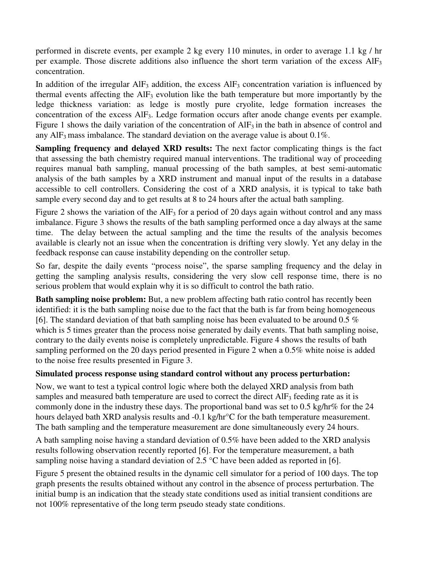performed in discrete events, per example 2 kg every 110 minutes, in order to average 1.1 kg / hr per example. Those discrete additions also influence the short term variation of the excess AlF<sub>3</sub> concentration.

In addition of the irregular  $\text{AlF}_3$  addition, the excess  $\text{AlF}_3$  concentration variation is influenced by thermal events affecting the  $\text{AIF}_3$  evolution like the bath temperature but more importantly by the ledge thickness variation: as ledge is mostly pure cryolite, ledge formation increases the concentration of the excess AlF3. Ledge formation occurs after anode change events per example. Figure 1 shows the daily variation of the concentration of  $AIF_3$  in the bath in absence of control and any AlF<sub>3</sub> mass imbalance. The standard deviation on the average value is about  $0.1\%$ .

**Sampling frequency and delayed XRD results:** The next factor complicating things is the fact that assessing the bath chemistry required manual interventions. The traditional way of proceeding requires manual bath sampling, manual processing of the bath samples, at best semi-automatic analysis of the bath samples by a XRD instrument and manual input of the results in a database accessible to cell controllers. Considering the cost of a XRD analysis, it is typical to take bath sample every second day and to get results at 8 to 24 hours after the actual bath sampling.

Figure 2 shows the variation of the  $AIF_3$  for a period of 20 days again without control and any mass imbalance. Figure 3 shows the results of the bath sampling performed once a day always at the same time. The delay between the actual sampling and the time the results of the analysis becomes available is clearly not an issue when the concentration is drifting very slowly. Yet any delay in the feedback response can cause instability depending on the controller setup.

So far, despite the daily events "process noise", the sparse sampling frequency and the delay in getting the sampling analysis results, considering the very slow cell response time, there is no serious problem that would explain why it is so difficult to control the bath ratio.

**Bath sampling noise problem:** But, a new problem affecting bath ratio control has recently been identified: it is the bath sampling noise due to the fact that the bath is far from being homogeneous [6]. The standard deviation of that bath sampling noise has been evaluated to be around 0.5  $\%$ which is 5 times greater than the process noise generated by daily events. That bath sampling noise, contrary to the daily events noise is completely unpredictable. Figure 4 shows the results of bath sampling performed on the 20 days period presented in Figure 2 when a 0.5% white noise is added to the noise free results presented in Figure 3.

## **Simulated process response using standard control without any process perturbation:**

Now, we want to test a typical control logic where both the delayed XRD analysis from bath samples and measured bath temperature are used to correct the direct  $AIF_3$  feeding rate as it is commonly done in the industry these days. The proportional band was set to 0.5 kg/hr% for the 24 hours delayed bath XRD analysis results and -0.1 kg/hr<sup>o</sup>C for the bath temperature measurement. The bath sampling and the temperature measurement are done simultaneously every 24 hours.

A bath sampling noise having a standard deviation of 0.5% have been added to the XRD analysis results following observation recently reported [6]. For the temperature measurement, a bath sampling noise having a standard deviation of 2.5 °C have been added as reported in [6].

Figure 5 present the obtained results in the dynamic cell simulator for a period of 100 days. The top graph presents the results obtained without any control in the absence of process perturbation. The initial bump is an indication that the steady state conditions used as initial transient conditions are not 100% representative of the long term pseudo steady state conditions.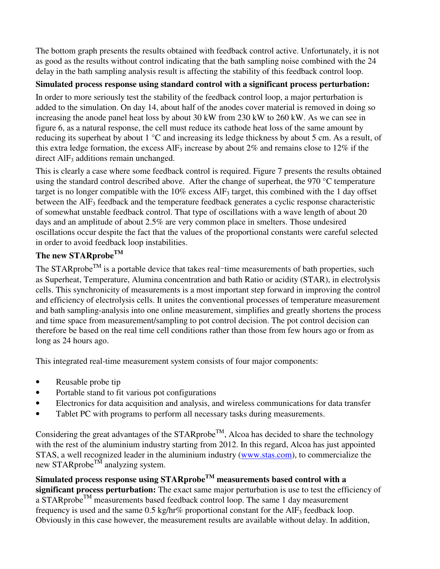The bottom graph presents the results obtained with feedback control active. Unfortunately, it is not as good as the results without control indicating that the bath sampling noise combined with the 24 delay in the bath sampling analysis result is affecting the stability of this feedback control loop.

# **Simulated process response using standard control with a significant process perturbation:**

In order to more seriously test the stability of the feedback control loop, a major perturbation is added to the simulation. On day 14, about half of the anodes cover material is removed in doing so increasing the anode panel heat loss by about 30 kW from 230 kW to 260 kW. As we can see in figure 6, as a natural response, the cell must reduce its cathode heat loss of the same amount by reducing its superheat by about 1 °C and increasing its ledge thickness by about 5 cm. As a result, of this extra ledge formation, the excess  $\text{AlF}_3$  increase by about 2% and remains close to 12% if the direct AlF<sub>3</sub> additions remain unchanged.

This is clearly a case where some feedback control is required. Figure 7 presents the results obtained using the standard control described above. After the change of superheat, the 970 °C temperature target is no longer compatible with the  $10\%$  excess AlF<sub>3</sub> target, this combined with the 1 day offset between the  $\text{AIF}_3$  feedback and the temperature feedback generates a cyclic response characteristic of somewhat unstable feedback control. That type of oscillations with a wave length of about 20 days and an amplitude of about 2.5% are very common place in smelters. Those undesired oscillations occur despite the fact that the values of the proportional constants were careful selected in order to avoid feedback loop instabilities.

# **The new STARprobeTM**

The STARprobe<sup>TM</sup> is a portable device that takes real-time measurements of bath properties, such as Superheat, Temperature, Alumina concentration and bath Ratio or acidity (STAR), in electrolysis cells. This synchronicity of measurements is a most important step forward in improving the control and efficiency of electrolysis cells. It unites the conventional processes of temperature measurement and bath sampling-analysis into one online measurement, simplifies and greatly shortens the process and time space from measurement/sampling to pot control decision. The pot control decision can therefore be based on the real time cell conditions rather than those from few hours ago or from as long as 24 hours ago.

This integrated real-time measurement system consists of four major components:

- Reusable probe tip
- Portable stand to fit various pot configurations
- Electronics for data acquisition and analysis, and wireless communications for data transfer
- Tablet PC with programs to perform all necessary tasks during measurements.

Considering the great advantages of the  $STARprobe^{TM}$ , Alcoa has decided to share the technology with the rest of the aluminium industry starting from 2012. In this regard, Alcoa has just appointed STAS, a well recognized leader in the aluminium industry (www.stas.com), to commercialize the new STARprobe<sup>TM</sup> analyzing system.

**Simulated process response using STARprobeTM measurements based control with a significant process perturbation:** The exact same major perturbation is use to test the efficiency of a STARprobe<sup>TM</sup> measurements based feedback control loop. The same 1 day measurement frequency is used and the same  $0.5 \text{ kg/hr}$ % proportional constant for the AlF<sub>3</sub> feedback loop. Obviously in this case however, the measurement results are available without delay. In addition,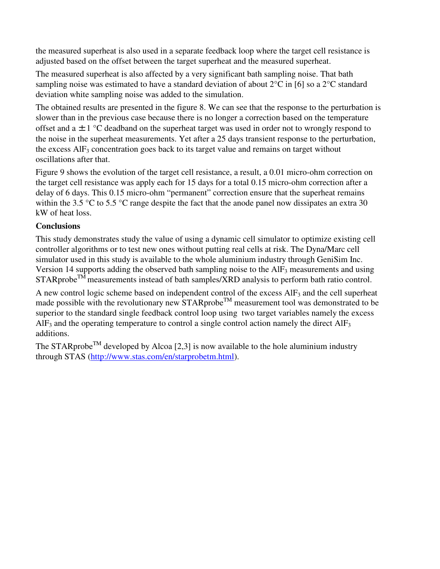the measured superheat is also used in a separate feedback loop where the target cell resistance is adjusted based on the offset between the target superheat and the measured superheat.

The measured superheat is also affected by a very significant bath sampling noise. That bath sampling noise was estimated to have a standard deviation of about  $2^{\circ}C$  in [6] so a  $2^{\circ}C$  standard deviation white sampling noise was added to the simulation.

The obtained results are presented in the figure 8. We can see that the response to the perturbation is slower than in the previous case because there is no longer a correction based on the temperature offset and a  $\pm 1$  °C deadband on the superheat target was used in order not to wrongly respond to the noise in the superheat measurements. Yet after a 25 days transient response to the perturbation, the excess  $AIF_3$  concentration goes back to its target value and remains on target without oscillations after that.

Figure 9 shows the evolution of the target cell resistance, a result, a 0.01 micro-ohm correction on the target cell resistance was apply each for 15 days for a total 0.15 micro-ohm correction after a delay of 6 days. This 0.15 micro-ohm "permanent" correction ensure that the superheat remains within the 3.5 °C to 5.5 °C range despite the fact that the anode panel now dissipates an extra 30 kW of heat loss.

## **Conclusions**

This study demonstrates study the value of using a dynamic cell simulator to optimize existing cell controller algorithms or to test new ones without putting real cells at risk. The Dyna/Marc cell simulator used in this study is available to the whole aluminium industry through GeniSim Inc. Version 14 supports adding the observed bath sampling noise to the  $\text{AIF}_3$  measurements and using STARprobe<sup>TM</sup> measurements instead of bath samples/XRD analysis to perform bath ratio control.

A new control logic scheme based on independent control of the excess AlF3 and the cell superheat made possible with the revolutionary new  $STAR$ probe<sup>TM</sup> measurement tool was demonstrated to be superior to the standard single feedback control loop using two target variables namely the excess  $\text{AlF}_3$  and the operating temperature to control a single control action namely the direct  $\text{AlF}_3$ additions.

The STARprobe<sup>TM</sup> developed by Alcoa [2,3] is now available to the hole aluminium industry through STAS (http://www.stas.com/en/starprobetm.html).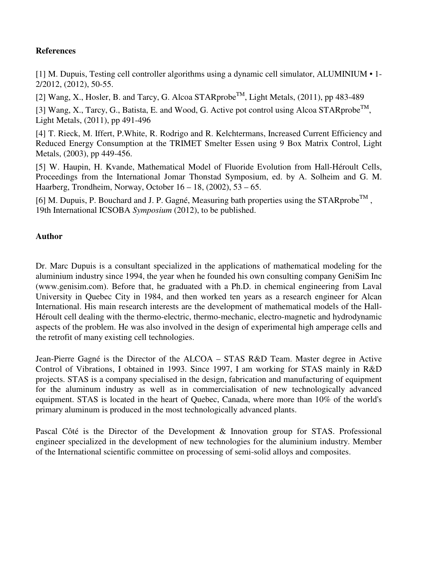## **References**

[1] M. Dupuis, Testing cell controller algorithms using a dynamic cell simulator, ALUMINIUM • 1- 2/2012, (2012), 50-55.

[2] Wang, X., Hosler, B. and Tarcy, G. Alcoa  $STARprobe^{TM}$ , Light Metals, (2011), pp 483-489

[3] Wang, X., Tarcy, G., Batista, E. and Wood, G. Active pot control using Alcoa STARprobe<sup>TM</sup>, Light Metals, (2011), pp 491-496

[4] T. Rieck, M. Iffert, P.White, R. Rodrigo and R. Kelchtermans, Increased Current Efficiency and Reduced Energy Consumption at the TRIMET Smelter Essen using 9 Box Matrix Control, Light Metals, (2003), pp 449-456.

[5] W. Haupin, H. Kvande, Mathematical Model of Fluoride Evolution from Hall-Héroult Cells, Proceedings from the International Jomar Thonstad Symposium, ed. by A. Solheim and G. M. Haarberg, Trondheim, Norway, October 16 – 18, (2002), 53 – 65.

[6] M. Dupuis, P. Bouchard and J. P. Gagné, Measuring bath properties using the STARprobe<sup>TM</sup>, 19th International ICSOBA *Symposium* (2012), to be published.

## **Author**

Dr. Marc Dupuis is a consultant specialized in the applications of mathematical modeling for the aluminium industry since 1994, the year when he founded his own consulting company GeniSim Inc (www.genisim.com). Before that, he graduated with a Ph.D. in chemical engineering from Laval University in Quebec City in 1984, and then worked ten years as a research engineer for Alcan International. His main research interests are the development of mathematical models of the Hall-Héroult cell dealing with the thermo-electric, thermo-mechanic, electro-magnetic and hydrodynamic aspects of the problem. He was also involved in the design of experimental high amperage cells and the retrofit of many existing cell technologies.

Jean-Pierre Gagné is the Director of the ALCOA – STAS R&D Team. Master degree in Active Control of Vibrations, I obtained in 1993. Since 1997, I am working for STAS mainly in R&D projects. STAS is a company specialised in the design, fabrication and manufacturing of equipment for the aluminum industry as well as in commercialisation of new technologically advanced equipment. STAS is located in the heart of Quebec, Canada, where more than 10% of the world's primary aluminum is produced in the most technologically advanced plants.

Pascal Côté is the Director of the Development & Innovation group for STAS. Professional engineer specialized in the development of new technologies for the aluminium industry. Member of the International scientific committee on processing of semi-solid alloys and composites.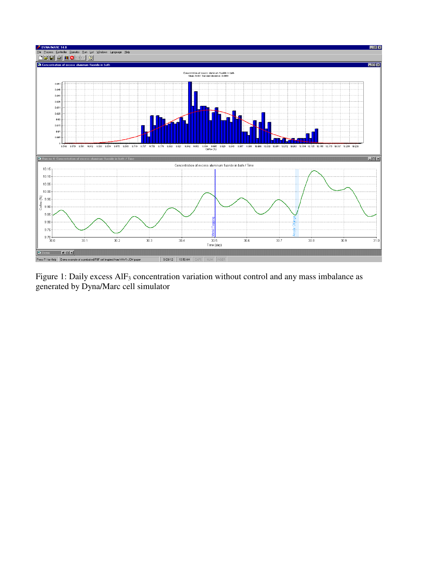

Figure 1: Daily excess AlF<sub>3</sub> concentration variation without control and any mass imbalance as generated by Dyna/Marc cell simulator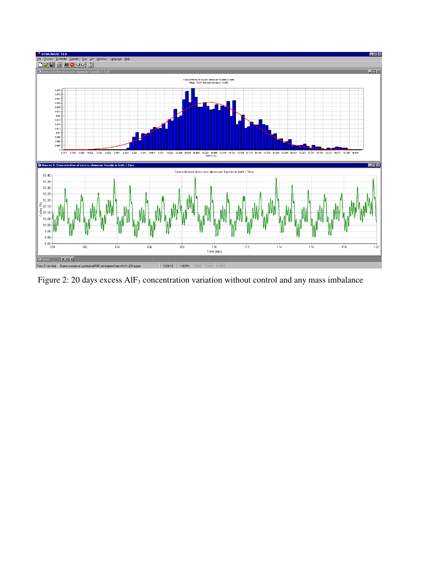

Figure 2: 20 days excess AlF<sub>3</sub> concentration variation without control and any mass imbalance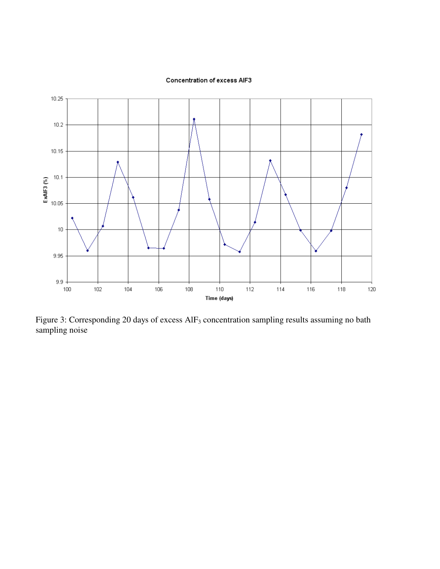



Figure 3: Corresponding 20 days of excess AlF<sub>3</sub> concentration sampling results assuming no bath sampling noise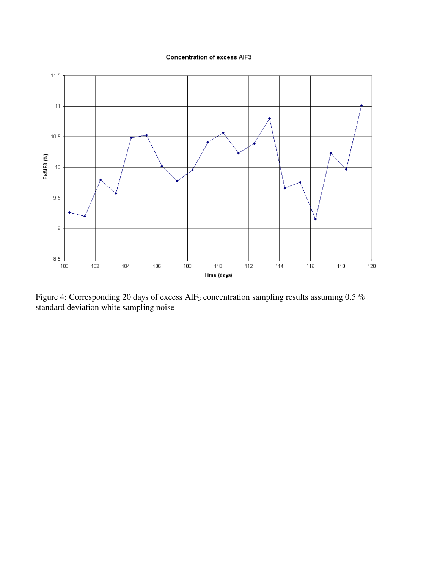#### **Concentration of excess AIF3**



Figure 4: Corresponding 20 days of excess  $\text{AlF}_3$  concentration sampling results assuming 0.5 % standard deviation white sampling noise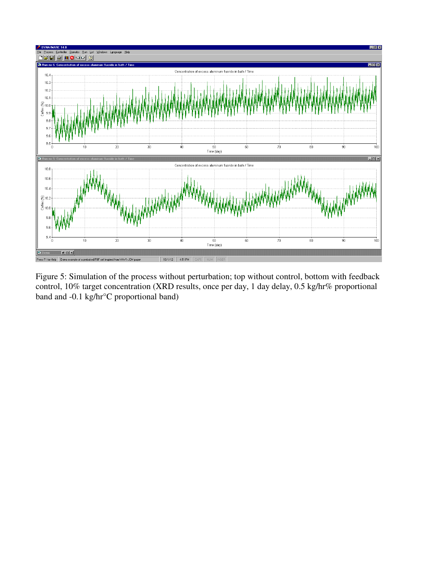

Figure 5: Simulation of the process without perturbation; top without control, bottom with feedback control, 10% target concentration (XRD results, once per day, 1 day delay, 0.5 kg/hr% proportional band and -0.1 kg/hr°C proportional band)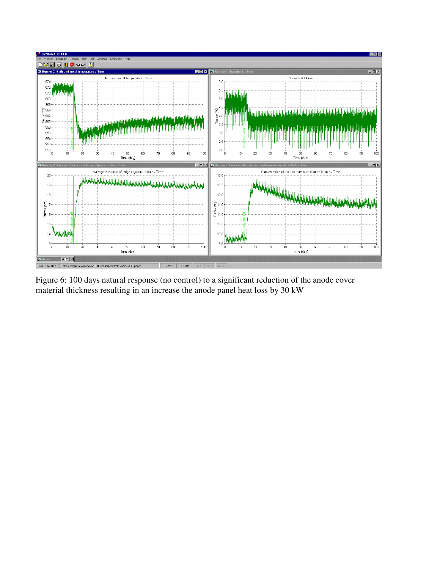

Figure 6: 100 days natural response (no control) to a significant reduction of the anode cover material thickness resulting in an increase the anode panel heat loss by 30 kW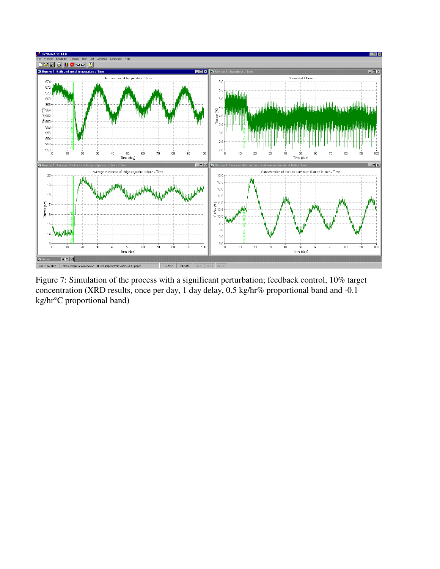

Figure 7: Simulation of the process with a significant perturbation; feedback control, 10% target concentration (XRD results, once per day, 1 day delay, 0.5 kg/hr% proportional band and -0.1 kg/hr°C proportional band)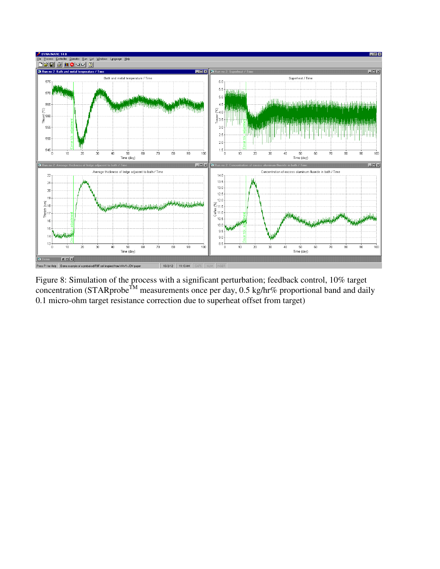

Figure 8: Simulation of the process with a significant perturbation; feedback control, 10% target concentration (STARprobe<sup>TM</sup> measurements once per day, 0.5 kg/hr% proportional band and daily 0.1 micro-ohm target resistance correction due to superheat offset from target)